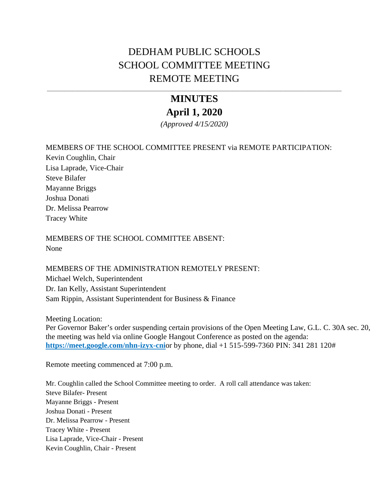# DEDHAM PUBLIC SCHOOLS SCHOOL COMMITTEE MEETING REMOTE MEETING

# **MINUTES**

# **April 1, 2020**

*(Approved 4/15/2020)* 

## MEMBERS OF THE SCHOOL COMMITTEE PRESENT via REMOTE PARTICIPATION:

Kevin Coughlin, Chair Lisa Laprade, Vice-Chair Steve Bilafer Mayanne Briggs Joshua Donati Dr. Melissa Pearrow Tracey White

MEMBERS OF THE SCHOOL COMMITTEE ABSENT: None

MEMBERS OF THE ADMINISTRATION REMOTELY PRESENT: Michael Welch, Superintendent Dr. Ian Kelly, Assistant Superintendent Sam Rippin, Assistant Superintendent for Business & Finance

Meeting Location:

Per Governor Baker's order suspending certain provisions of the Open Meeting Law, G.L. C. 30A sec. 20, the meeting was held via online Google Hangout Conference as posted on the agenda: **<https://meet.google.com/nhn-izyx-cni>**or by phone, dial +1 515-599-7360 PIN: 341 281 120#

Remote meeting commenced at 7:00 p.m.

Mr. Coughlin called the School Committee meeting to order. A roll call attendance was taken: Steve Bilafer- Present Mayanne Briggs - Present Joshua Donati - Present Dr. Melissa Pearrow - Present Tracey White - Present Lisa Laprade, Vice-Chair - Present Kevin Coughlin, Chair - Present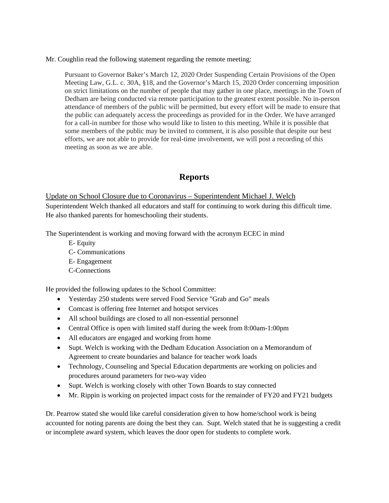Mr. Coughlin read the following statement regarding the remote meeting:

Pursuant to Governor Baker's March 12, 2020 Order Suspending Certain Provisions of the Open Meeting Law, G.L. c. 30A, §18, and the Governor's March 15, 2020 Order concerning imposition on strict limitations on the number of people that may gather in one place, meetings in the Town of Dedham are being conducted via remote participation to the greatest extent possible. No in-person attendance of members of the public will be permitted, but every effort will be made to ensure that the public can adequately access the proceedings as provided for in the Order. We have arranged for a call-in number for those who would like to listen to this meeting. While it is possible that some members of the public may be invited to comment, it is also possible that despite our best efforts, we are not able to provide for real-time involvement, we will post a recording of this meeting as soon as we are able.

# **Reports**

Update on School Closure due to Coronavirus – Superintendent Michael J. Welch Superintendent Welch thanked all educators and staff for continuing to work during this difficult time. He also thanked parents for homeschooling their students.

The Superintendent is working and moving forward with the acronym ECEC in mind

- E- Equity
- C- Communications
- E- Engagement
- C-Connections

He provided the following updates to the School Committee:

- Yesterday 250 students were served Food Service "Grab and Go" meals
- Comcast is offering free Internet and hotspot services
- All school buildings are closed to all non-essential personnel
- Central Office is open with limited staff during the week from 8:00am-1:00pm
- All educators are engaged and working from home
- Supt. Welch is working with the Dedham Education Association on a Memorandum of Agreement to create boundaries and balance for teacher work loads
- Technology, Counseling and Special Education departments are working on policies and procedures around parameters for two-way video
- Supt. Welch is working closely with other Town Boards to stay connected
- Mr. Rippin is working on projected impact costs for the remainder of FY20 and FY21 budgets

Dr. Pearrow stated she would like careful consideration given to how home/school work is being accounted for noting parents are doing the best they can. Supt. Welch stated that he is suggesting a credit or incomplete award system, which leaves the door open for students to complete work.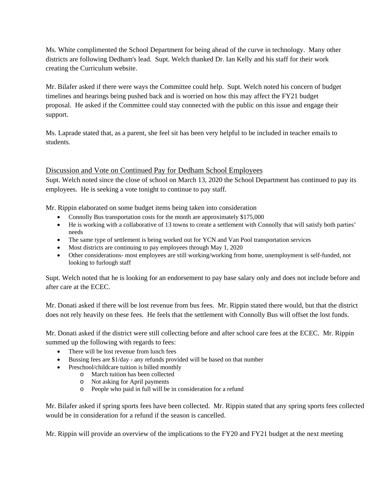Ms. White complimented the School Department for being ahead of the curve in technology. Many other districts are following Dedham's lead. Supt. Welch thanked Dr. Ian Kelly and his staff for their work creating the Curriculum website.

Mr. Bilafer asked if there were ways the Committee could help. Supt. Welch noted his concern of budget timelines and hearings being pushed back and is worried on how this may affect the FY21 budget proposal. He asked if the Committee could stay connected with the public on this issue and engage their support.

Ms. Laprade stated that, as a parent, she feel sit has been very helpful to be included in teacher emails to students.

#### Discussion and Vote on Continued Pay for Dedham School Employees

Supt. Welch noted since the close of school on March 13, 2020 the School Department has continued to pay its employees. He is seeking a vote tonight to continue to pay staff.

Mr. Rippin elaborated on some budget items being taken into consideration

- Connolly Bus transportation costs for the month are approximately \$175,000
- He is working with a collaborative of 13 towns to create a settlement with Connolly that will satisfy both parties' needs
- The same type of settlement is being worked out for YCN and Van Pool transportation services
- Most districts are continuing to pay employees through May 1, 2020
- Other considerations- most employees are still working/working from home, unemployment is self-funded, not looking to furlough staff

Supt. Welch noted that he is looking for an endorsement to pay base salary only and does not include before and after care at the ECEC.

Mr. Donati asked if there will be lost revenue from bus fees. Mr. Rippin stated there would, but that the district does not rely heavily on these fees. He feels that the settlement with Connolly Bus will offset the lost funds.

Mr. Donati asked if the district were still collecting before and after school care fees at the ECEC. Mr. Rippin summed up the following with regards to fees:

- There will be lost revenue from lunch fees
- Bussing fees are \$1/day any refunds provided will be based on that number
- Preschool/childcare tuition is billed monthly
	- o March tuition has been collected
		- o Not asking for April payments
		- o People who paid in full will be in consideration for a refund

Mr. Bilafer asked if spring sports fees have been collected. Mr. Rippin stated that any spring sports fees collected would be in consideration for a refund if the season is cancelled.

Mr. Rippin will provide an overview of the implications to the FY20 and FY21 budget at the next meeting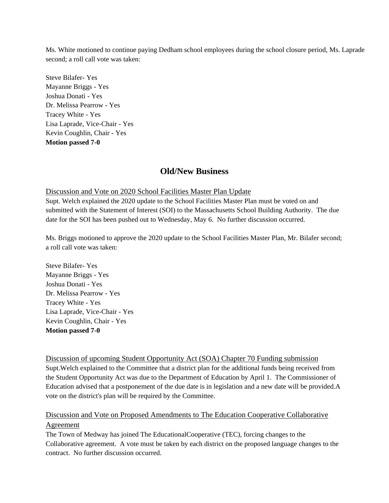Ms. White motioned to continue paying Dedham school employees during the school closure period, Ms. Laprade second; a roll call vote was taken:

Steve Bilafer- Yes Mayanne Briggs - Yes Joshua Donati - Yes Dr. Melissa Pearrow - Yes Tracey White - Yes Lisa Laprade, Vice-Chair - Yes Kevin Coughlin, Chair - Yes **Motion passed 7-0** 

## **Old/New Business**

#### Discussion and Vote on 2020 School Facilities Master Plan Update

Supt. Welch explained the 2020 update to the School Facilities Master Plan must be voted on and submitted with the Statement of Interest (SOI) to the Massachusetts School Building Authority. The due date for the SOI has been pushed out to Wednesday, May 6. No further discussion occurred.

Ms. Briggs motioned to approve the 2020 update to the School Facilities Master Plan, Mr. Bilafer second; a roll call vote was taken:

Steve Bilafer- Yes Mayanne Briggs - Yes Joshua Donati - Yes Dr. Melissa Pearrow - Yes Tracey White - Yes Lisa Laprade, Vice-Chair - Yes Kevin Coughlin, Chair - Yes **Motion passed 7-0** 

Discussion of upcoming Student Opportunity Act (SOA) Chapter 70 Funding submission Supt.Welch explained to the Committee that a district plan for the additional funds being received from the Student Opportunity Act was due to the Department of Education by April 1. The Commissioner of Education advised that a postponement of the due date is in legislation and a new date will be provided.A vote on the district's plan will be required by the Committee.

### Discussion and Vote on Proposed Amendments to The Education Cooperative Collaborative Agreement

The Town of Medway has joined The EducationalCooperative (TEC), forcing changes to the Collaborative agreement. A vote must be taken by each district on the proposed language changes to the contract. No further discussion occurred.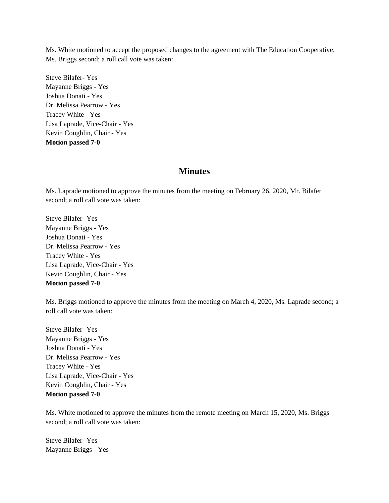Ms. White motioned to accept the proposed changes to the agreement with The Education Cooperative, Ms. Briggs second; a roll call vote was taken:

Steve Bilafer- Yes Mayanne Briggs - Yes Joshua Donati - Yes Dr. Melissa Pearrow - Yes Tracey White - Yes Lisa Laprade, Vice-Chair - Yes Kevin Coughlin, Chair - Yes **Motion passed 7-0** 

#### **Minutes**

Ms. Laprade motioned to approve the minutes from the meeting on February 26, 2020, Mr. Bilafer second; a roll call vote was taken:

Steve Bilafer- Yes Mayanne Briggs - Yes Joshua Donati - Yes Dr. Melissa Pearrow - Yes Tracey White - Yes Lisa Laprade, Vice-Chair - Yes Kevin Coughlin, Chair - Yes **Motion passed 7-0** 

Ms. Briggs motioned to approve the minutes from the meeting on March 4, 2020, Ms. Laprade second; a roll call vote was taken:

Steve Bilafer- Yes Mayanne Briggs - Yes Joshua Donati - Yes Dr. Melissa Pearrow - Yes Tracey White - Yes Lisa Laprade, Vice-Chair - Yes Kevin Coughlin, Chair - Yes **Motion passed 7-0** 

Ms. White motioned to approve the minutes from the remote meeting on March 15, 2020, Ms. Briggs second; a roll call vote was taken:

Steve Bilafer- Yes Mayanne Briggs - Yes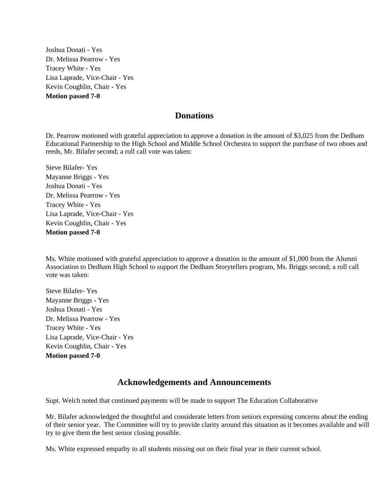Joshua Donati - Yes Dr. Melissa Pearrow - Yes Tracey White - Yes Lisa Laprade, Vice-Chair - Yes Kevin Coughlin, Chair - Yes **Motion passed 7-0** 

#### **Donations**

Dr. Pearrow motioned with grateful appreciation to approve a donation in the amount of \$3,025 from the Dedham Educational Partnership to the High School and Middle School Orchestra to support the purchase of two oboes and reeds, Mr. Bilafer second; a roll call vote was taken:

Steve Bilafer- Yes Mayanne Briggs - Yes Joshua Donati - Yes Dr. Melissa Pearrow - Yes Tracey White - Yes Lisa Laprade, Vice-Chair - Yes Kevin Coughlin, Chair - Yes **Motion passed 7-0** 

Ms. White motioned with grateful appreciation to approve a donation in the amount of \$1,000 from the Alumni Association to Dedham High School to support the Dedham Storytellers program, Ms. Briggs second; a roll call vote was taken:

Steve Bilafer- Yes Mayanne Briggs - Yes Joshua Donati - Yes Dr. Melissa Pearrow - Yes Tracey White - Yes Lisa Laprade, Vice-Chair - Yes Kevin Coughlin, Chair - Yes **Motion passed 7-0** 

### **Acknowledgements and Announcements**

Supt. Welch noted that continued payments will be made to support The Education Collaborative

Mr. Bilafer acknowledged the thoughtful and considerate letters from seniors expressing concerns about the ending of their senior year. The Committee will try to provide clarity around this situation as it becomes available and will try to give them the best senior closing possible.

Ms. White expressed empathy to all students missing out on their final year in their current school.